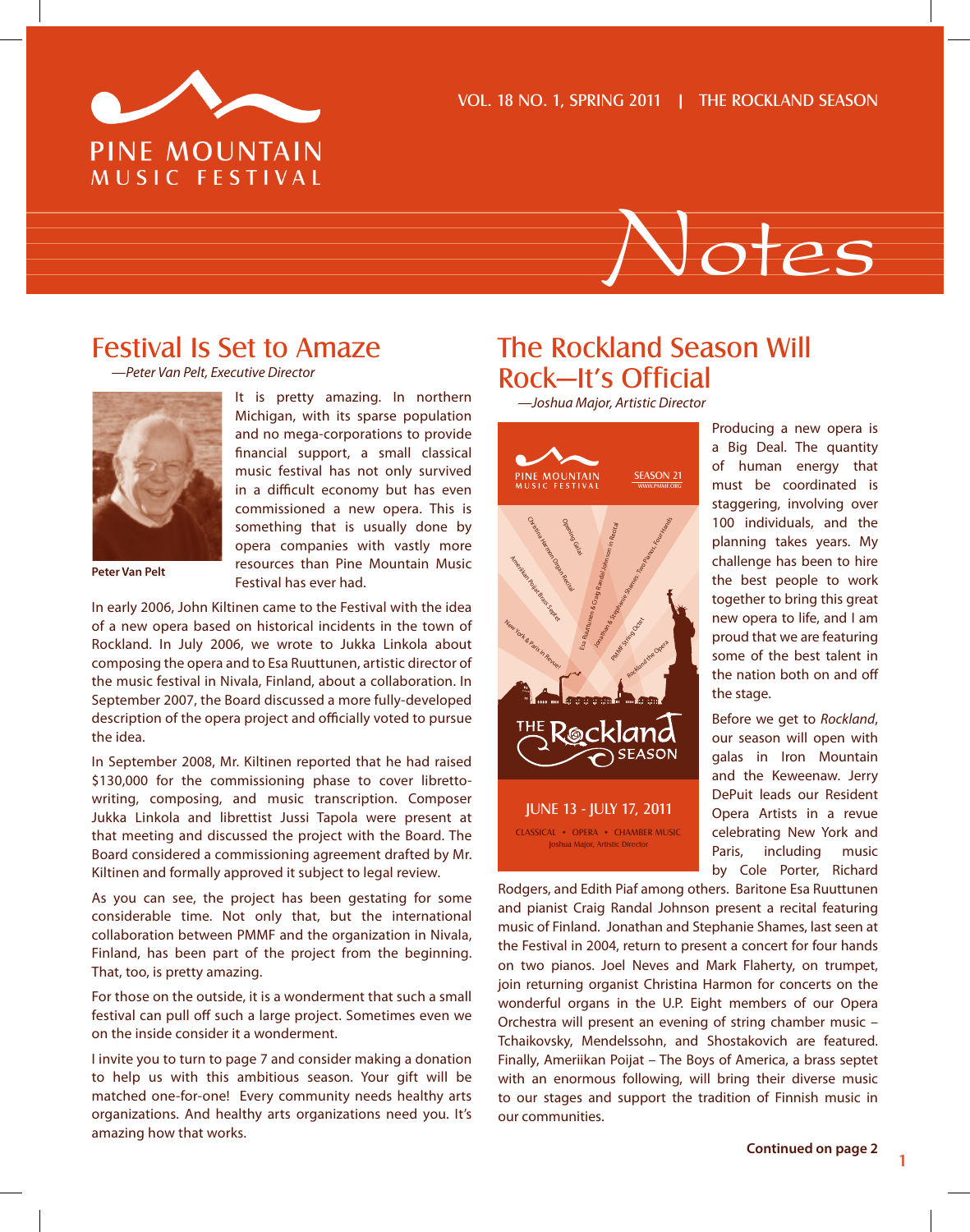



## Festival Is Set to Amaze

*—Peter Van Pelt, Executive Director*



**Peter Van Pelt**

It is pretty amazing. In northern Michigan, with its sparse population and no mega-corporations to provide financial support, a small classical music festival has not only survived in a difficult economy but has even commissioned a new opera. This is something that is usually done by opera companies with vastly more resources than Pine Mountain Music Festival has ever had.

In early 2006, John Kiltinen came to the Festival with the idea of a new opera based on historical incidents in the town of Rockland. In July 2006, we wrote to Jukka Linkola about composing the opera and to Esa Ruuttunen, artistic director of the music festival in Nivala, Finland, about a collaboration. In September 2007, the Board discussed a more fully-developed description of the opera project and officially voted to pursue the idea.

In September 2008, Mr. Kiltinen reported that he had raised \$130,000 for the commissioning phase to cover librettowriting, composing, and music transcription. Composer Jukka Linkola and librettist Jussi Tapola were present at that meeting and discussed the project with the Board. The Board considered a commissioning agreement drafted by Mr. Kiltinen and formally approved it subject to legal review.

As you can see, the project has been gestating for some considerable time. Not only that, but the international collaboration between PMMF and the organization in Nivala, Finland, has been part of the project from the beginning. That, too, is pretty amazing.

For those on the outside, it is a wonderment that such a small festival can pull off such a large project. Sometimes even we on the inside consider it a wonderment.

I invite you to turn to page 7 and consider making a donation to help us with this ambitious season. Your gift will be matched one-for-one! Every community needs healthy arts organizations. And healthy arts organizations need you. It's amazing how that works.

## The Rockland Season Will Rock—It's Official

*—Joshua Major, Artistic Director*



Producing a new opera is a Big Deal. The quantity of human energy that must be coordinated is staggering, involving over 100 individuals, and the planning takes years. My challenge has been to hire the best people to work together to bring this great new opera to life, and I am proud that we are featuring some of the best talent in the nation both on and off the stage.

Before we get to *Rockland*, our season will open with galas in Iron Mountain and the Keweenaw. Jerry DePuit leads our Resident Opera Artists in a revue celebrating New York and Paris, including music by Cole Porter, Richard

Rodgers, and Edith Piaf among others. Baritone Esa Ruuttunen and pianist Craig Randal Johnson present a recital featuring music of Finland. Jonathan and Stephanie Shames, last seen at the Festival in 2004, return to present a concert for four hands on two pianos. Joel Neves and Mark Flaherty, on trumpet, join returning organist Christina Harmon for concerts on the wonderful organs in the U.P. Eight members of our Opera Orchestra will present an evening of string chamber music – Tchaikovsky, Mendelssohn, and Shostakovich are featured. Finally, Ameriikan Poijat – The Boys of America, a brass septet with an enormous following, will bring their diverse music to our stages and support the tradition of Finnish music in our communities.

1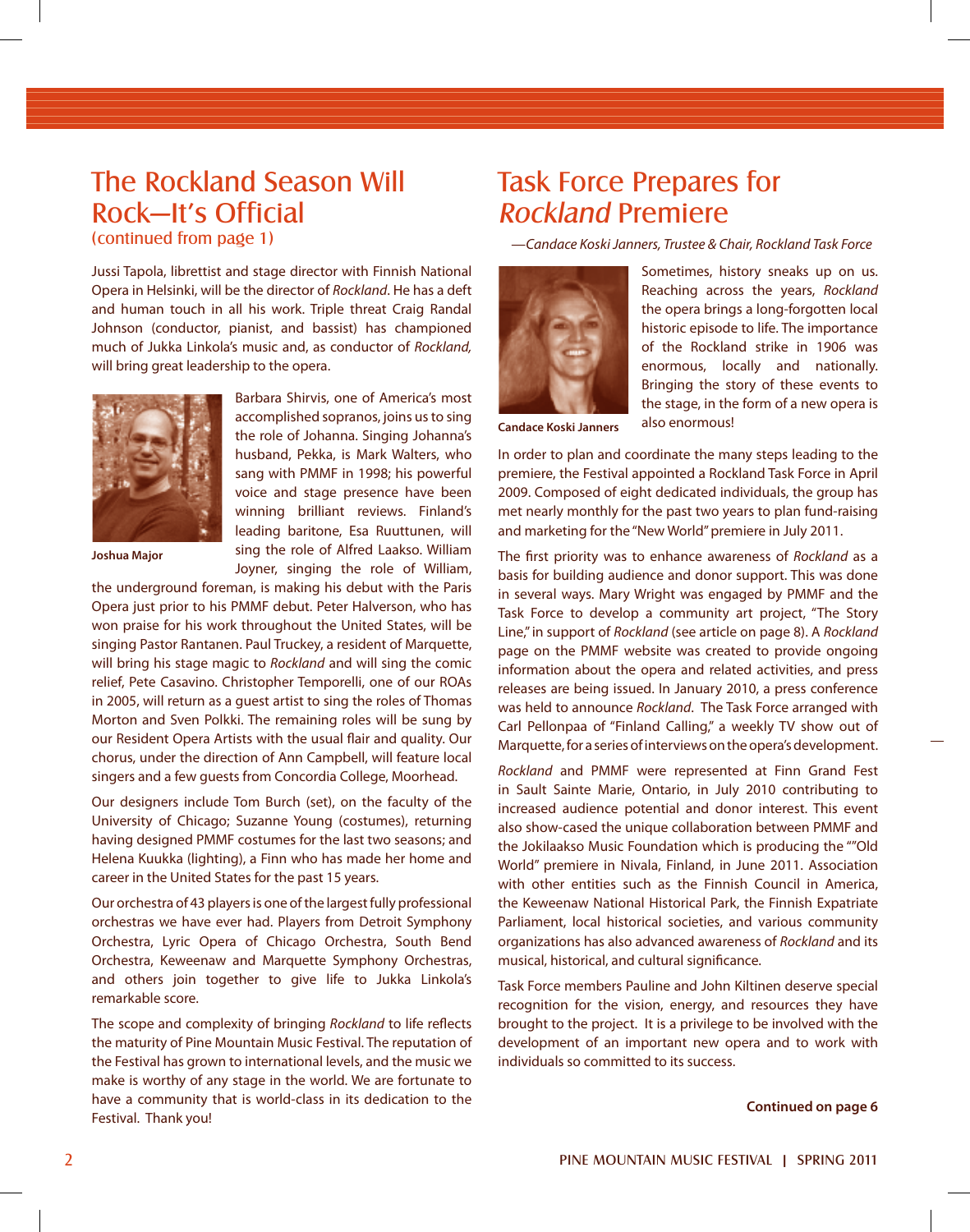## The Rockland Season Will Rock—It's Official

(continued from page 1)

Jussi Tapola, librettist and stage director with Finnish National Opera in Helsinki, will be the director of *Rockland*. He has a deft and human touch in all his work. Triple threat Craig Randal Johnson (conductor, pianist, and bassist) has championed much of Jukka Linkola's music and, as conductor of *Rockland,* will bring great leadership to the opera.



**Joshua Major**

Barbara Shirvis, one of America's most accomplished sopranos, joins us to sing the role of Johanna. Singing Johanna's husband, Pekka, is Mark Walters, who sang with PMMF in 1998; his powerful voice and stage presence have been winning brilliant reviews. Finland's leading baritone, Esa Ruuttunen, will sing the role of Alfred Laakso. William Joyner, singing the role of William,

the underground foreman, is making his debut with the Paris Opera just prior to his PMMF debut. Peter Halverson, who has won praise for his work throughout the United States, will be singing Pastor Rantanen. Paul Truckey, a resident of Marquette, will bring his stage magic to *Rockland* and will sing the comic relief, Pete Casavino. Christopher Temporelli, one of our ROAs in 2005, will return as a guest artist to sing the roles of Thomas Morton and Sven Polkki. The remaining roles will be sung by our Resident Opera Artists with the usual flair and quality. Our chorus, under the direction of Ann Campbell, will feature local singers and a few guests from Concordia College, Moorhead.

Our designers include Tom Burch (set), on the faculty of the University of Chicago; Suzanne Young (costumes), returning having designed PMMF costumes for the last two seasons; and Helena Kuukka (lighting), a Finn who has made her home and career in the United States for the past 15 years.

Our orchestra of 43 players is one of the largest fully professional orchestras we have ever had. Players from Detroit Symphony Orchestra, Lyric Opera of Chicago Orchestra, South Bend Orchestra, Keweenaw and Marquette Symphony Orchestras, and others join together to give life to Jukka Linkola's remarkable score.

The scope and complexity of bringing *Rockland* to life reflects the maturity of Pine Mountain Music Festival. The reputation of the Festival has grown to international levels, and the music we make is worthy of any stage in the world. We are fortunate to have a community that is world-class in its dedication to the Festival. Thank you!

## Task Force Prepares for Rockland Premiere

*—Candace Koski Janners, Trustee & Chair, Rockland Task Force* 



Sometimes, history sneaks up on us. Reaching across the years, *Rockland* the opera brings a long-forgotten local historic episode to life. The importance of the Rockland strike in 1906 was enormous, locally and nationally. Bringing the story of these events to the stage, in the form of a new opera is also enormous!

**Candace Koski Janners**

In order to plan and coordinate the many steps leading to the premiere, the Festival appointed a Rockland Task Force in April 2009. Composed of eight dedicated individuals, the group has met nearly monthly for the past two years to plan fund-raising and marketing for the "New World" premiere in July 2011.

The first priority was to enhance awareness of *Rockland* as a basis for building audience and donor support. This was done in several ways. Mary Wright was engaged by PMMF and the Task Force to develop a community art project, "The Story Line," in support of *Rockland* (see article on page 8). A *Rockland* page on the PMMF website was created to provide ongoing information about the opera and related activities, and press releases are being issued. In January 2010, a press conference was held to announce *Rockland*. The Task Force arranged with Carl Pellonpaa of "Finland Calling," a weekly TV show out of Marquette, for a series of interviews on the opera's development.

*Rockland* and PMMF were represented at Finn Grand Fest in Sault Sainte Marie, Ontario, in July 2010 contributing to increased audience potential and donor interest. This event also show-cased the unique collaboration between PMMF and the Jokilaakso Music Foundation which is producing the ""Old World" premiere in Nivala, Finland, in June 2011. Association with other entities such as the Finnish Council in America. the Keweenaw National Historical Park, the Finnish Expatriate Parliament, local historical societies, and various community organizations has also advanced awareness of *Rockland* and its musical, historical, and cultural significance.

Task Force members Pauline and John Kiltinen deserve special recognition for the vision, energy, and resources they have brought to the project. It is a privilege to be involved with the development of an important new opera and to work with individuals so committed to its success.

**Continued on page 6**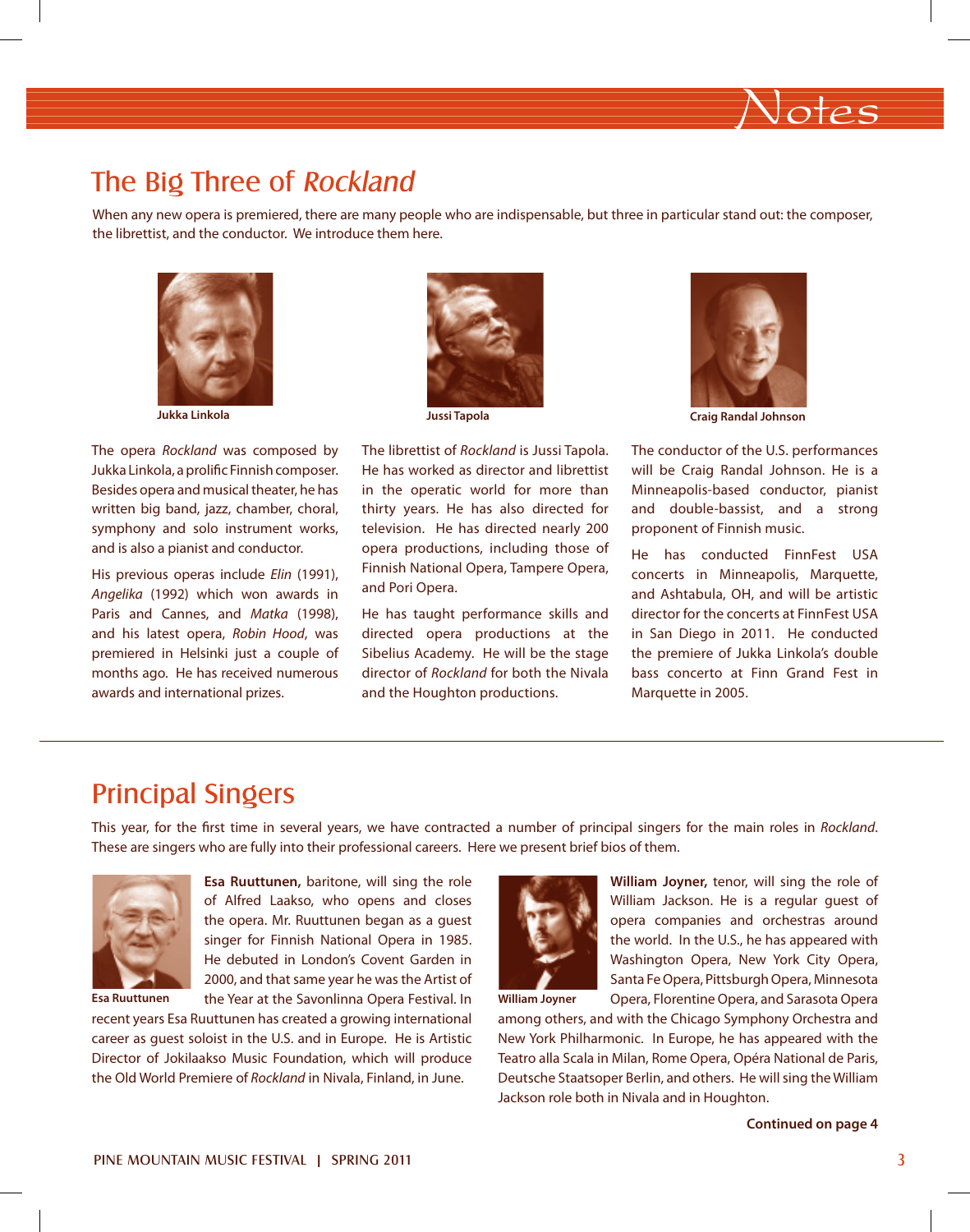## The Big Three of Rockland

When any new opera is premiered, there are many people who are indispensable, but three in particular stand out: the composer, the librettist, and the conductor. We introduce them here.



**Jukka Linkola**

The opera *Rockland* was composed by Jukka Linkola, a prolific Finnish composer. Besides opera and musical theater, he has written big band, jazz, chamber, choral, symphony and solo instrument works, and is also a pianist and conductor.

His previous operas include *Elin* (1991), *Angelika* (1992) which won awards in Paris and Cannes, and *Matka* (1998), and his latest opera, *Robin Hood*, was premiered in Helsinki just a couple of months ago. He has received numerous awards and international prizes.



The librettist of *Rockland* is Jussi Tapola. He has worked as director and librettist in the operatic world for more than thirty years. He has also directed for television. He has directed nearly 200 opera productions, including those of Finnish National Opera, Tampere Opera, and Pori Opera.

He has taught performance skills and directed opera productions at the Sibelius Academy. He will be the stage director of *Rockland* for both the Nivala and the Houghton productions.



Notes

**Jussi Tapola Craig Randal Johnson**

The conductor of the U.S. performances will be Craig Randal Johnson. He is a Minneapolis-based conductor, pianist and double-bassist, and a strong proponent of Finnish music.

He has conducted FinnFest USA concerts in Minneapolis, Marquette, and Ashtabula, OH, and will be artistic director for the concerts at FinnFest USA in San Diego in 2011. He conducted the premiere of Jukka Linkola's double bass concerto at Finn Grand Fest in Marquette in 2005.

### Principal Singers

This year, for the first time in several years, we have contracted a number of principal singers for the main roles in *Rockland*. These are singers who are fully into their professional careers. Here we present brief bios of them.



the opera. Mr. Ruuttunen began as a guest singer for Finnish National Opera in 1985. He debuted in London's Covent Garden in 2000, and that same year he was the Artist of the Year at the Savonlinna Opera Festival. In

**Esa Ruuttunen,** baritone, will sing the role of Alfred Laakso, who opens and closes

recent years Esa Ruuttunen has created a growing international career as guest soloist in the U.S. and in Europe. He is Artistic Director of Jokilaakso Music Foundation, which will produce the Old World Premiere of *Rockland* in Nivala, Finland, in June.



**William Joyner,** tenor, will sing the role of William Jackson. He is a regular guest of opera companies and orchestras around the world. In the U.S., he has appeared with Washington Opera, New York City Opera, Santa Fe Opera, Pittsburgh Opera, Minnesota Opera, Florentine Opera, and Sarasota Opera

**William Joyner**

among others, and with the Chicago Symphony Orchestra and New York Philharmonic. In Europe, he has appeared with the Teatro alla Scala in Milan, Rome Opera, Opéra National de Paris, Deutsche Staatsoper Berlin, and others. He will sing the William Jackson role both in Nivala and in Houghton.

**Continued on page 4**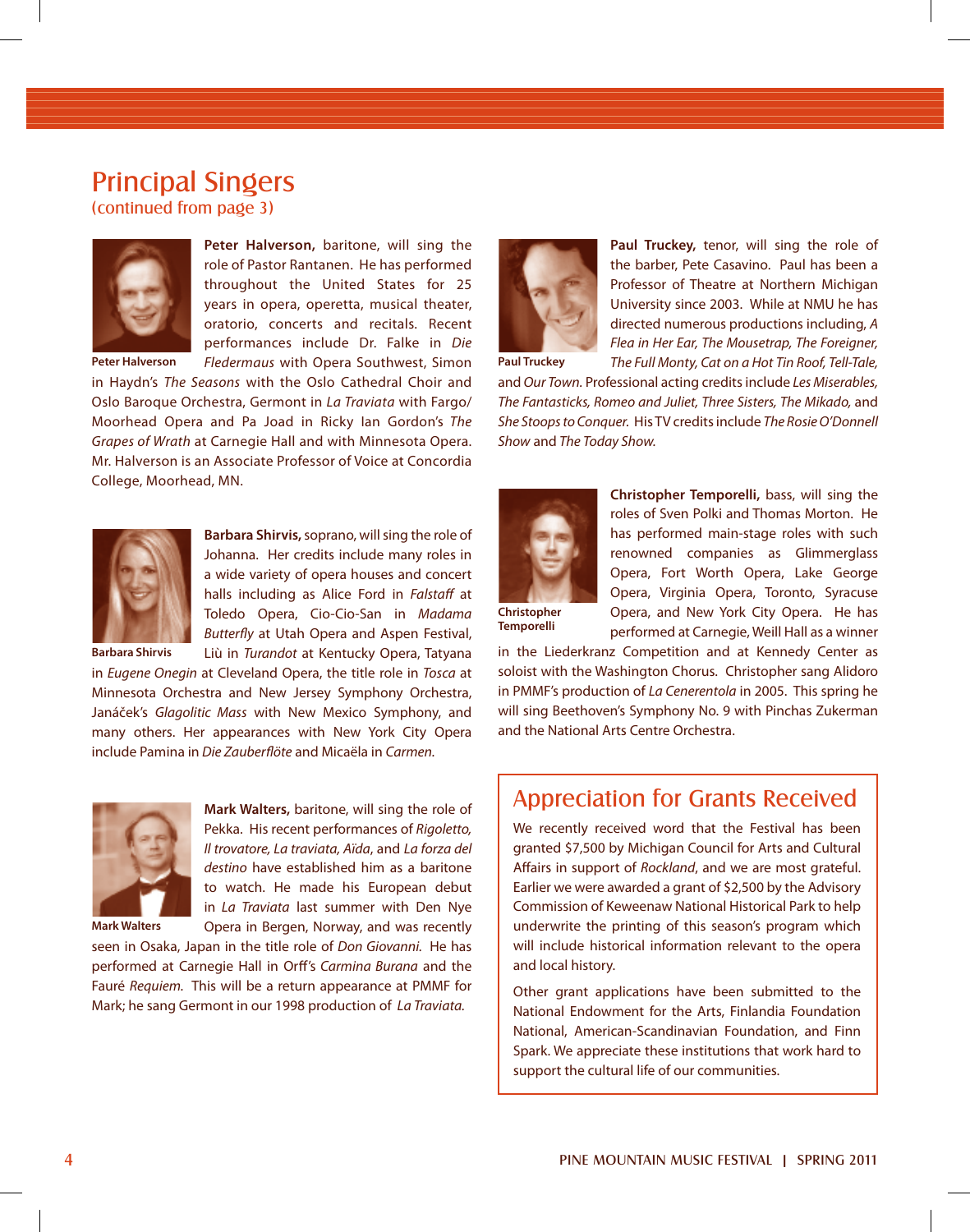### Principal Singers

(continued from page 3)



**Peter Halverson,** baritone, will sing the role of Pastor Rantanen. He has performed throughout the United States for 25 years in opera, operetta, musical theater, oratorio, concerts and recitals. Recent performances include Dr. Falke in *Die Fledermaus* with Opera Southwest, Simon

**Peter Halverson**

in Haydn's *The Seasons* with the Oslo Cathedral Choir and Oslo Baroque Orchestra, Germont in *La Traviata* with Fargo/ Moorhead Opera and Pa Joad in Ricky Ian Gordon's *The Grapes of Wrath* at Carnegie Hall and with Minnesota Opera. Mr. Halverson is an Associate Professor of Voice at Concordia College, Moorhead, MN.



**Barbara Shirvis,** soprano, will sing the role of Johanna. Her credits include many roles in a wide variety of opera houses and concert halls including as Alice Ford in *Falstaff* at Toledo Opera, Cio-Cio-San in *Madama Butterfly* at Utah Opera and Aspen Festival, Liù in *Turandot* at Kentucky Opera, Tatyana

**Barbara Shirvis**

in *Eugene Onegin* at Cleveland Opera, the title role in *Tosca* at Minnesota Orchestra and New Jersey Symphony Orchestra, Janáček's *Glagolitic Mass* with New Mexico Symphony, and many others. Her appearances with New York City Opera include Pamina in *Die Zauberflöte* and Micaëla in *Carmen.*



**Mark Walters,** baritone, will sing the role of Pekka. His recent performances of *Rigoletto, Il trovatore, La traviata, Aïda*, and *La forza del destino* have established him as a baritone to watch. He made his European debut in *La Traviata* last summer with Den Nye Opera in Bergen, Norway, and was recently

**Mark Walters**

seen in Osaka, Japan in the title role of *Don Giovanni.* He has performed at Carnegie Hall in Orff's *Carmina Burana* and the Fauré *Requiem.* This will be a return appearance at PMMF for Mark; he sang Germont in our 1998 production of *La Traviata.*



**Paul Truckey,** tenor, will sing the role of the barber, Pete Casavino. Paul has been a Professor of Theatre at Northern Michigan University since 2003. While at NMU he has directed numerous productions including, *A Flea in Her Ear, The Mousetrap, The Foreigner, The Full Monty, Cat on a Hot Tin Roof, Tell-Tale,* 

**Paul Truckey**

and *Our Town.* Professional acting credits include *Les Miserables, The Fantasticks, Romeo and Juliet, Three Sisters, The Mikado,* and *She Stoops to Conquer.* His TV credits include *The Rosie O'Donnell Show* and *The Today Show.* 



**Christopher Temporelli,** bass, will sing the roles of Sven Polki and Thomas Morton. He has performed main-stage roles with such renowned companies as Glimmerglass Opera, Fort Worth Opera, Lake George Opera, Virginia Opera, Toronto, Syracuse Opera, and New York City Opera. He has performed at Carnegie, Weill Hall as a winner

**Temporelli**

in the Liederkranz Competition and at Kennedy Center as soloist with the Washington Chorus. Christopher sang Alidoro in PMMF's production of *La Cenerentola* in 2005. This spring he will sing Beethoven's Symphony No. 9 with Pinchas Zukerman and the National Arts Centre Orchestra.

### Appreciation for Grants Received

We recently received word that the Festival has been granted \$7,500 by Michigan Council for Arts and Cultural Affairs in support of *Rockland*, and we are most grateful. Earlier we were awarded a grant of \$2,500 by the Advisory Commission of Keweenaw National Historical Park to help underwrite the printing of this season's program which will include historical information relevant to the opera and local history.

Other grant applications have been submitted to the National Endowment for the Arts, Finlandia Foundation National, American-Scandinavian Foundation, and Finn Spark. We appreciate these institutions that work hard to support the cultural life of our communities.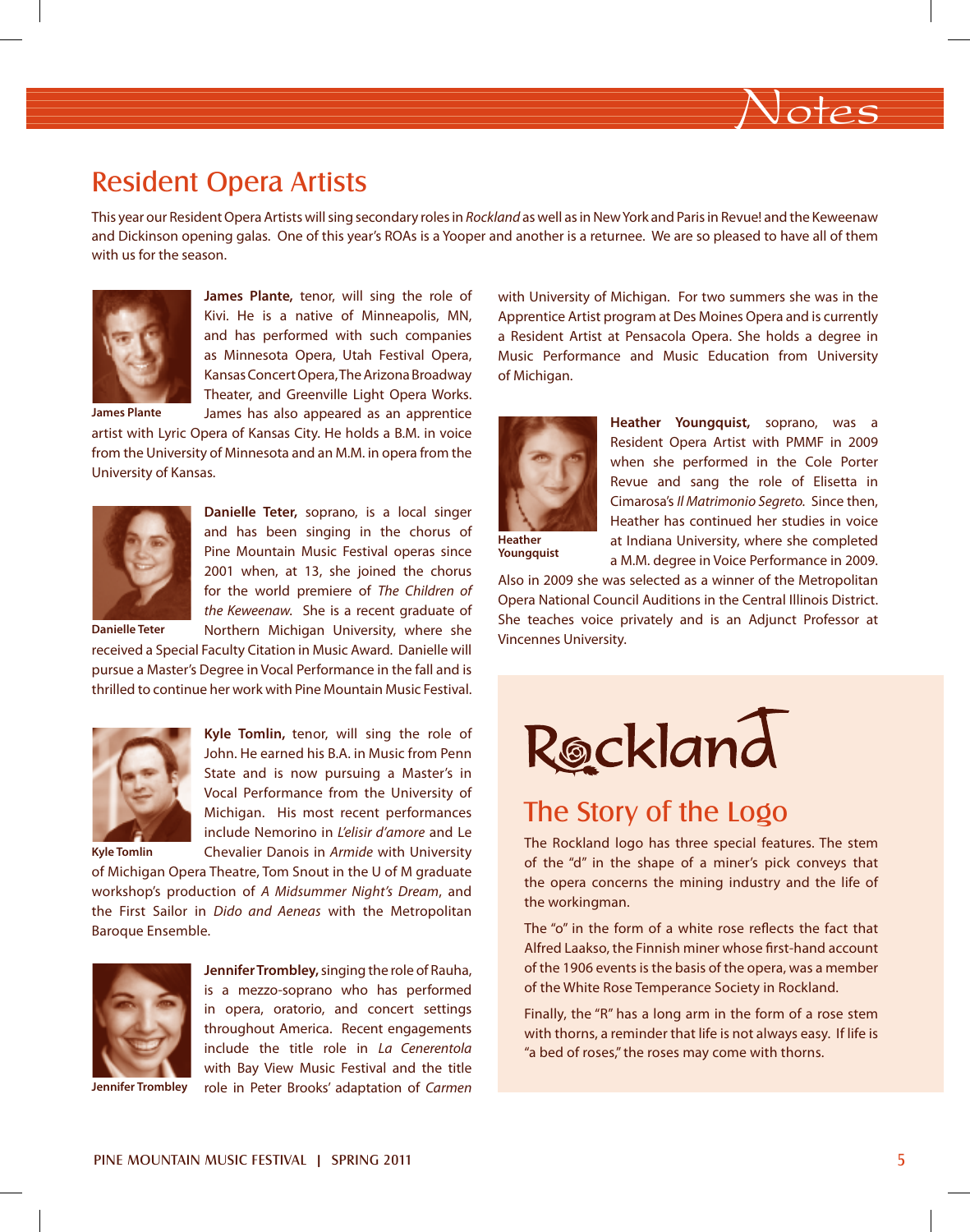

### Resident Opera Artists

This year our Resident Opera Artists will sing secondary roles in *Rockland* as well as in New York and Paris in Revue! and the Keweenaw and Dickinson opening galas. One of this year's ROAs is a Yooper and another is a returnee. We are so pleased to have all of them with us for the season.



**James Plante,** tenor, will sing the role of Kivi. He is a native of Minneapolis, MN, and has performed with such companies as Minnesota Opera, Utah Festival Opera, Kansas Concert Opera, The Arizona Broadway Theater, and Greenville Light Opera Works.

James has also appeared as an apprentice

**James Plante**

artist with Lyric Opera of Kansas City. He holds a B.M. in voice from the University of Minnesota and an M.M. in opera from the University of Kansas.



**Danielle Teter,** soprano, is a local singer and has been singing in the chorus of Pine Mountain Music Festival operas since 2001 when, at 13, she joined the chorus for the world premiere of *The Children of the Keweenaw.* She is a recent graduate of Northern Michigan University, where she

**Danielle Teter**

received a Special Faculty Citation in Music Award. Danielle will pursue a Master's Degree in Vocal Performance in the fall and is thrilled to continue her work with Pine Mountain Music Festival.



**Kyle Tomlin,** tenor, will sing the role of John. He earned his B.A. in Music from Penn State and is now pursuing a Master's in Vocal Performance from the University of Michigan. His most recent performances include Nemorino in *L'elisir d'amore* and Le

**Kyle Tomlin**

Chevalier Danois in *Armide* with University of Michigan Opera Theatre, Tom Snout in the U of M graduate workshop's production of *A Midsummer Night's Dream*, and the First Sailor in *Dido and Aeneas* with the Metropolitan Baroque Ensemble.



**Jennifer Trombley,** singing the role of Rauha, is a mezzo-soprano who has performed in opera, oratorio, and concert settings throughout America. Recent engagements include the title role in *La Cenerentola*  with Bay View Music Festival and the title role in Peter Brooks' adaptation of *Carmen* with University of Michigan. For two summers she was in the Apprentice Artist program at Des Moines Opera and is currently a Resident Artist at Pensacola Opera. She holds a degree in Music Performance and Music Education from University of Michigan.



**Heather Youngquist,** soprano, was a Resident Opera Artist with PMMF in 2009 when she performed in the Cole Porter Revue and sang the role of Elisetta in Cimarosa's *Il Matrimonio Segreto.* Since then, Heather has continued her studies in voice at Indiana University, where she completed a M.M. degree in Voice Performance in 2009.

**Heather Youngquist**

Also in 2009 she was selected as a winner of the Metropolitan Opera National Council Auditions in the Central Illinois District. She teaches voice privately and is an Adjunct Professor at Vincennes University.



## The Story of the Logo

The Rockland logo has three special features. The stem of the "d" in the shape of a miner's pick conveys that the opera concerns the mining industry and the life of the workingman.

The "o" in the form of a white rose reflects the fact that Alfred Laakso, the Finnish miner whose first-hand account of the 1906 events is the basis of the opera, was a member of the White Rose Temperance Society in Rockland.

Finally, the "R" has a long arm in the form of a rose stem with thorns, a reminder that life is not always easy. If life is "a bed of roses," the roses may come with thorns.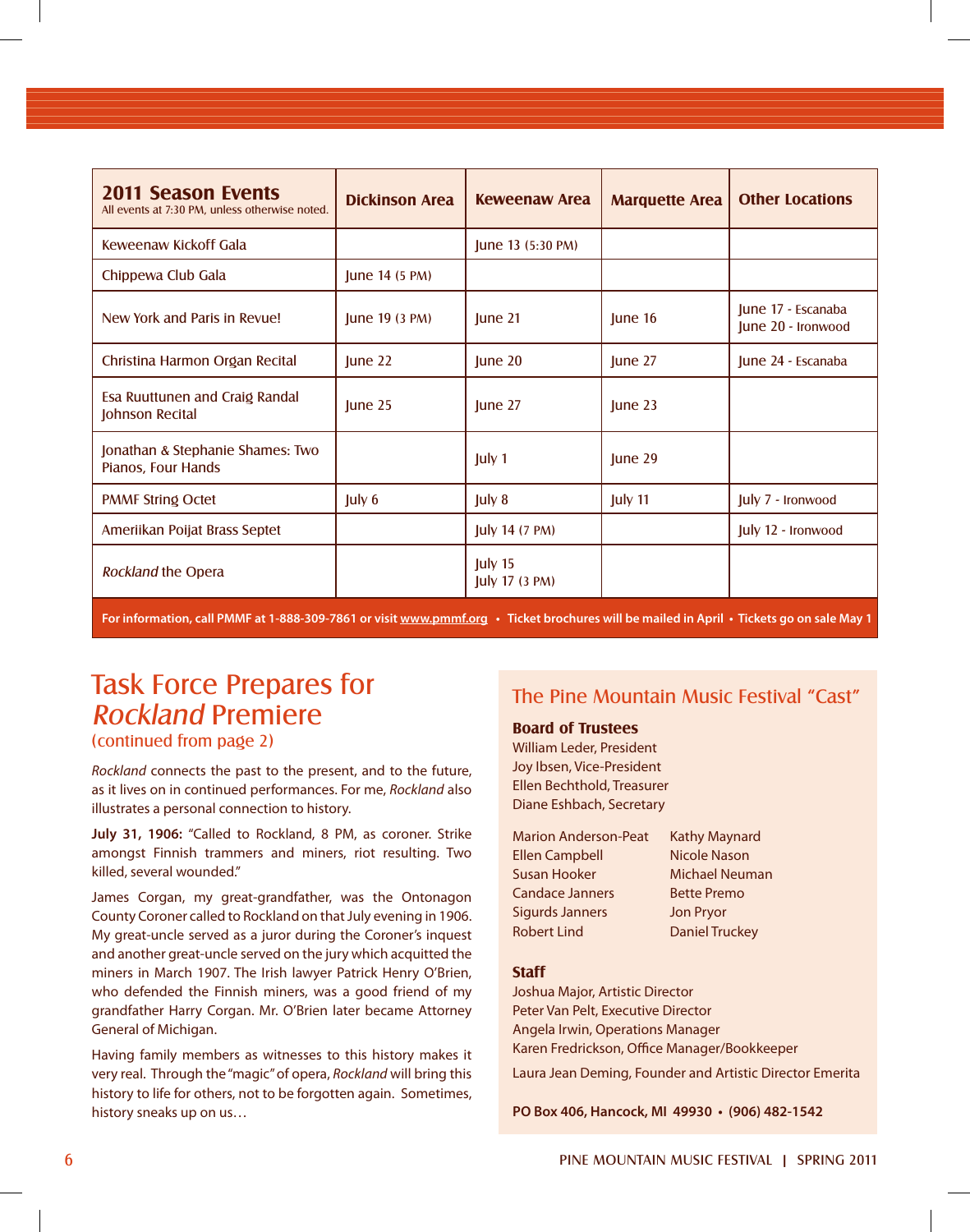| <b>2011 Season Events</b><br>All events at 7:30 PM, unless otherwise noted. | <b>Dickinson Area</b> | <b>Keweenaw Area</b>        | <b>Marquette Area</b> | <b>Other Locations</b>                   |
|-----------------------------------------------------------------------------|-----------------------|-----------------------------|-----------------------|------------------------------------------|
| Keweenaw Kickoff Gala                                                       |                       | June 13 (5:30 PM)           |                       |                                          |
| Chippewa Club Gala                                                          | June 14 (5 PM)        |                             |                       |                                          |
| New York and Paris in Revue!                                                | June 19 (3 PM)        | June 21                     | June 16               | June 17 - Escanaba<br>June 20 - Ironwood |
| Christina Harmon Organ Recital                                              | June 22               | June $20$                   | June 27               | June 24 - Escanaba                       |
| Esa Ruuttunen and Craig Randal<br>Johnson Recital                           | $ $ une 25            | June 27                     | $ $ une 23            |                                          |
| Jonathan & Stephanie Shames: Two<br>Pianos, Four Hands                      |                       | July 1                      | June 29               |                                          |
| <b>PMMF String Octet</b>                                                    | July 6                | July 8                      | July 11               | July 7 - Ironwood                        |
| Ameriikan Poijat Brass Septet                                               |                       | <b>July 14 (7 PM)</b>       |                       | July 12 - Ironwood                       |
| Rockland the Opera                                                          |                       | July 15<br>July 17 $(3 PM)$ |                       |                                          |

**For information, call PMMF at 1-888-309-7861 or visit www.pmmf.org • Ticket brochures will be mailed in April • Tickets go on sale May 1**

# Task Force Prepares for Rockland Premiere

(continued from page 2)

*Rockland* connects the past to the present, and to the future, as it lives on in continued performances. For me, *Rockland* also illustrates a personal connection to history.

**July 31, 1906:** "Called to Rockland, 8 PM, as coroner. Strike amongst Finnish trammers and miners, riot resulting. Two killed, several wounded."

James Corgan, my great-grandfather, was the Ontonagon County Coroner called to Rockland on that July evening in 1906. My great-uncle served as a juror during the Coroner's inquest and another great-uncle served on the jury which acquitted the miners in March 1907. The Irish lawyer Patrick Henry O'Brien, who defended the Finnish miners, was a good friend of my grandfather Harry Corgan. Mr. O'Brien later became Attorney General of Michigan.

Having family members as witnesses to this history makes it very real. Through the "magic" of opera, *Rockland* will bring this history to life for others, not to be forgotten again. Sometimes, history sneaks up on us…

### The Pine Mountain Music Festival "Cast"

#### **Board of Trustees**

William Leder, President Joy Ibsen, Vice-President Ellen Bechthold, Treasurer Diane Eshbach, Secretary

| <b>Marion Anderson-Peat</b> | <b>Kathy Maynard</b>  |
|-----------------------------|-----------------------|
| <b>Ellen Campbell</b>       | <b>Nicole Nason</b>   |
| Susan Hooker                | <b>Michael Neuman</b> |
| <b>Candace Janners</b>      | <b>Bette Premo</b>    |
| <b>Sigurds Janners</b>      | <b>Jon Pryor</b>      |
| <b>Robert Lind</b>          | <b>Daniel Truckey</b> |

#### **Staff**

Joshua Major, Artistic Director Peter Van Pelt, Executive Director Angela Irwin, Operations Manager Karen Fredrickson, Office Manager/Bookkeeper

Laura Jean Deming, Founder and Artistic Director Emerita

**PO Box 406, Hancock, MI 49930 • (906) 482-1542**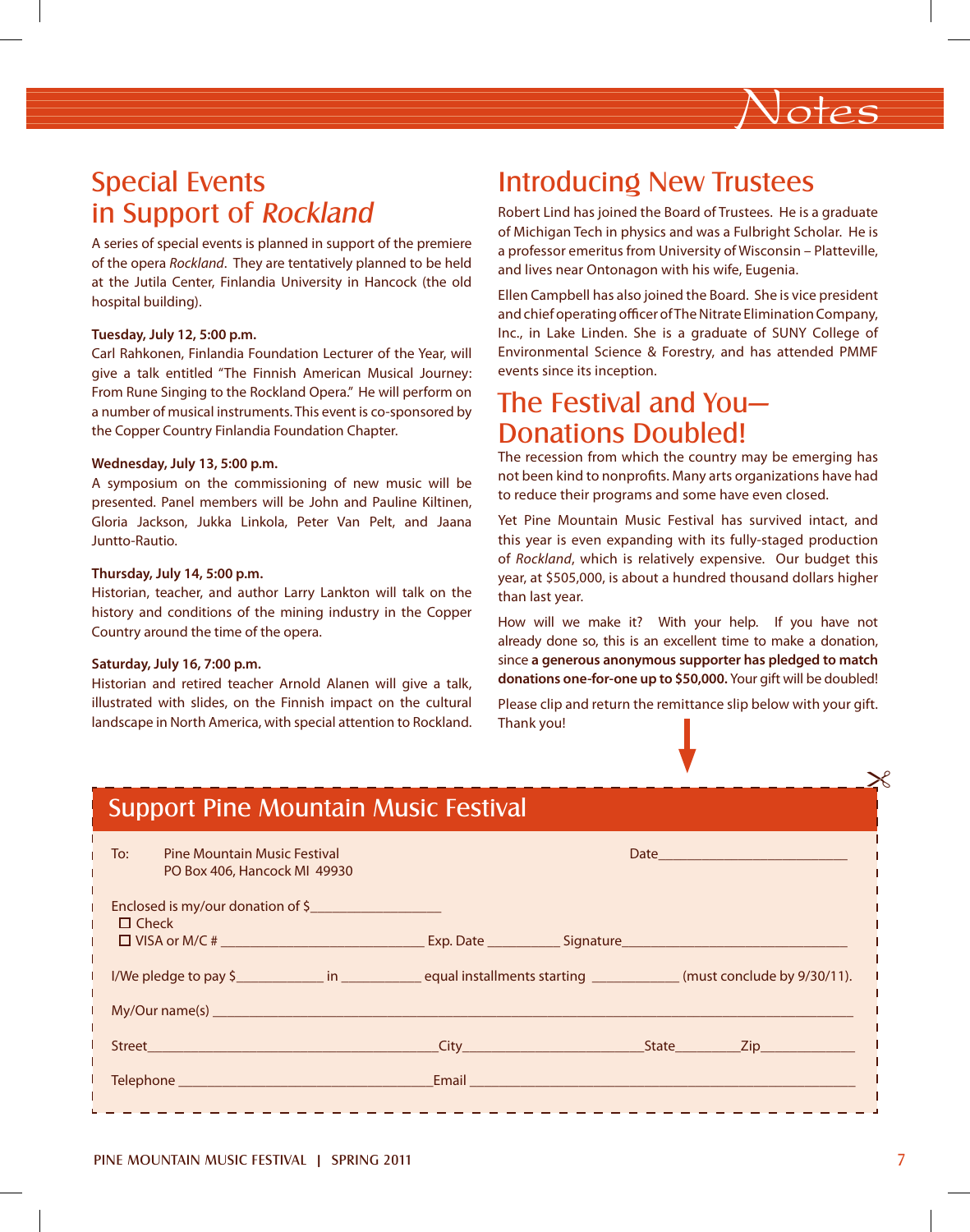

## Special Events in Support of Rockland

A series of special events is planned in support of the premiere of the opera *Rockland*. They are tentatively planned to be held at the Jutila Center, Finlandia University in Hancock (the old hospital building).

#### **Tuesday, July 12, 5:00 p.m.**

Carl Rahkonen, Finlandia Foundation Lecturer of the Year, will give a talk entitled "The Finnish American Musical Journey: From Rune Singing to the Rockland Opera." He will perform on a number of musical instruments. This event is co-sponsored by the Copper Country Finlandia Foundation Chapter.

#### **Wednesday, July 13, 5:00 p.m.**

A symposium on the commissioning of new music will be presented. Panel members will be John and Pauline Kiltinen, Gloria Jackson, Jukka Linkola, Peter Van Pelt, and Jaana Juntto-Rautio.

#### **Thursday, July 14, 5:00 p.m.**

Historian, teacher, and author Larry Lankton will talk on the history and conditions of the mining industry in the Copper Country around the time of the opera.

#### **Saturday, July 16, 7:00 p.m.**

Historian and retired teacher Arnold Alanen will give a talk, illustrated with slides, on the Finnish impact on the cultural landscape in North America, with special attention to Rockland.

### Introducing New Trustees

Robert Lind has joined the Board of Trustees. He is a graduate of Michigan Tech in physics and was a Fulbright Scholar. He is a professor emeritus from University of Wisconsin – Platteville, and lives near Ontonagon with his wife, Eugenia.

Ellen Campbell has also joined the Board. She is vice president and chief operating officer of The Nitrate Elimination Company, Inc., in Lake Linden. She is a graduate of SUNY College of Environmental Science & Forestry, and has attended PMMF events since its inception.

### The Festival and You— Donations Doubled!

The recession from which the country may be emerging has not been kind to nonprofits. Many arts organizations have had to reduce their programs and some have even closed.

Yet Pine Mountain Music Festival has survived intact, and this year is even expanding with its fully-staged production of *Rockland*, which is relatively expensive. Our budget this year, at \$505,000, is about a hundred thousand dollars higher than last year.

How will we make it? With your help. If you have not already done so, this is an excellent time to make a donation, since **a generous anonymous supporter has pledged to match donations one-for-one up to \$50,000.** Your gift will be doubled!

Please clip and return the remittance slip below with your gift. Thank you!

| <b>Support Pine Mountain Music Festival</b>                                |                                                                                                                                                                                                                                      |  |  |  |  |
|----------------------------------------------------------------------------|--------------------------------------------------------------------------------------------------------------------------------------------------------------------------------------------------------------------------------------|--|--|--|--|
| To:<br><b>Pine Mountain Music Festival</b><br>PO Box 406, Hancock MI 49930 |                                                                                                                                                                                                                                      |  |  |  |  |
| Enclosed is my/our donation of \$<br>$\Box$ Check                          |                                                                                                                                                                                                                                      |  |  |  |  |
|                                                                            | I/We pledge to pay \$ <u> and in equal installments starting</u> (must conclude by 9/30/11).                                                                                                                                         |  |  |  |  |
|                                                                            |                                                                                                                                                                                                                                      |  |  |  |  |
|                                                                            |                                                                                                                                                                                                                                      |  |  |  |  |
|                                                                            | <u>Email and the community of the community of the community of the community of the community of the community of the community of the community of the community of the community of the community of the community of the com</u> |  |  |  |  |
|                                                                            |                                                                                                                                                                                                                                      |  |  |  |  |